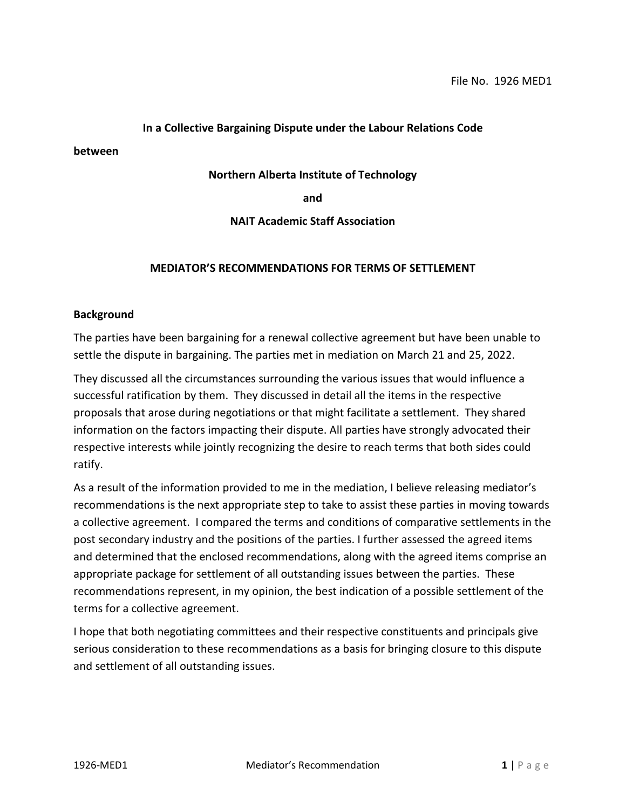### **In a Collective Bargaining Dispute under the Labour Relations Code**

**between**

#### **Northern Alberta Institute of Technology**

**and**

### **NAIT Academic Staff Association**

#### **MEDIATOR'S RECOMMENDATIONS FOR TERMS OF SETTLEMENT**

#### **Background**

The parties have been bargaining for a renewal collective agreement but have been unable to settle the dispute in bargaining. The parties met in mediation on March 21 and 25, 2022.

They discussed all the circumstances surrounding the various issues that would influence a successful ratification by them. They discussed in detail all the items in the respective proposals that arose during negotiations or that might facilitate a settlement. They shared information on the factors impacting their dispute. All parties have strongly advocated their respective interests while jointly recognizing the desire to reach terms that both sides could ratify.

As a result of the information provided to me in the mediation, I believe releasing mediator's recommendations is the next appropriate step to take to assist these parties in moving towards a collective agreement. I compared the terms and conditions of comparative settlements in the post secondary industry and the positions of the parties. I further assessed the agreed items and determined that the enclosed recommendations, along with the agreed items comprise an appropriate package for settlement of all outstanding issues between the parties. These recommendations represent, in my opinion, the best indication of a possible settlement of the terms for a collective agreement.

I hope that both negotiating committees and their respective constituents and principals give serious consideration to these recommendations as a basis for bringing closure to this dispute and settlement of all outstanding issues.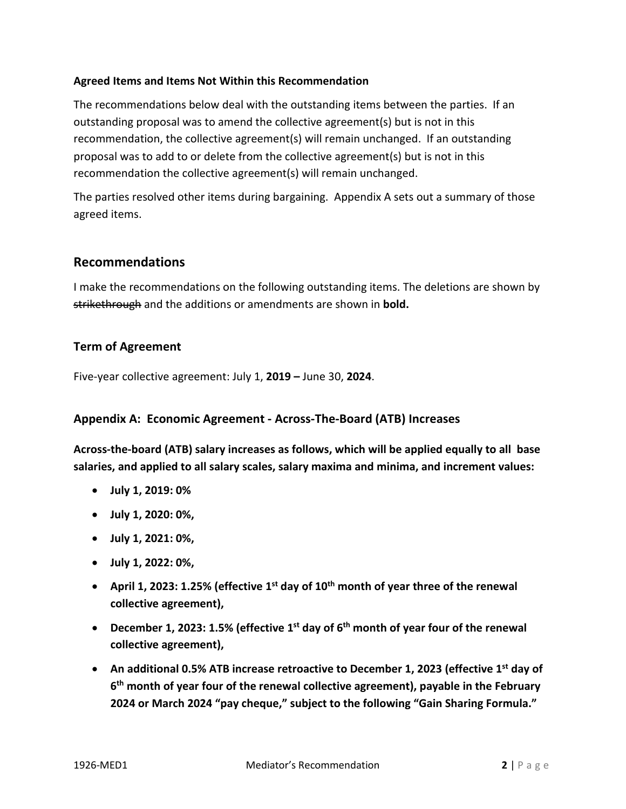## **Agreed Items and Items Not Within this Recommendation**

The recommendations below deal with the outstanding items between the parties. If an outstanding proposal was to amend the collective agreement(s) but is not in this recommendation, the collective agreement(s) will remain unchanged. If an outstanding proposal was to add to or delete from the collective agreement(s) but is not in this recommendation the collective agreement(s) will remain unchanged.

The parties resolved other items during bargaining. Appendix A sets out a summary of those agreed items.

# **Recommendations**

I make the recommendations on the following outstanding items. The deletions are shown by strikethrough and the additions or amendments are shown in **bold.**

## **Term of Agreement**

Five-year collective agreement: July 1, **2019 –** June 30, **2024**.

## **Appendix A: Economic Agreement - Across-The-Board (ATB) Increases**

**Across-the-board (ATB) salary increases as follows, which will be applied equally to all base salaries, and applied to all salary scales, salary maxima and minima, and increment values:**

- **July 1, 2019: 0%**
- **July 1, 2020: 0%,**
- **July 1, 2021: 0%,**
- **July 1, 2022: 0%,**
- **April 1, 2023: 1.25% (effective 1st day of 10th month of year three of the renewal collective agreement),**
- **December 1, 2023: 1.5% (effective 1st day of 6th month of year four of the renewal collective agreement),**
- An additional 0.5% ATB increase retroactive to December 1, 2023 (effective 1<sup>st</sup> day of **6th month of year four of the renewal collective agreement), payable in the February 2024 or March 2024 "pay cheque," subject to the following "Gain Sharing Formula."**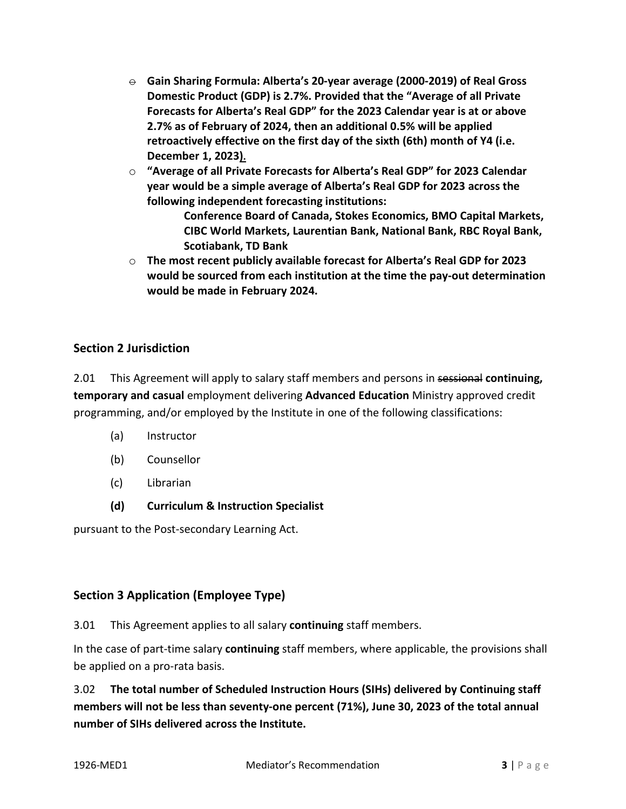- $\ominus$  Gain Sharing Formula: Alberta's 20-year average (2000-2019) of Real Gross **Domestic Product (GDP) is 2.7%. Provided that the "Average of all Private Forecasts for Alberta's Real GDP" for the 2023 Calendar year is at or above 2.7% as of February of 2024, then an additional 0.5% will be applied retroactively effective on the first day of the sixth (6th) month of Y4 (i.e. December 1, 2023).**
- o **"Average of all Private Forecasts for Alberta's Real GDP" for 2023 Calendar year would be a simple average of Alberta's Real GDP for 2023 across the following independent forecasting institutions:**
	- **Conference Board of Canada, Stokes Economics, BMO Capital Markets, CIBC World Markets, Laurentian Bank, National Bank, RBC Royal Bank, Scotiabank, TD Bank**
- o **The most recent publicly available forecast for Alberta's Real GDP for 2023 would be sourced from each institution at the time the pay-out determination would be made in February 2024.**

# **Section 2 Jurisdiction**

2.01 This Agreement will apply to salary staff members and persons in sessional **continuing, temporary and casual** employment delivering **Advanced Education** Ministry approved credit programming, and/or employed by the Institute in one of the following classifications:

- (a) Instructor
- (b) Counsellor
- (c) Librarian
- **(d) Curriculum & Instruction Specialist**

pursuant to the Post-secondary Learning Act.

# **Section 3 Application (Employee Type)**

3.01 This Agreement applies to all salary **continuing** staff members.

In the case of part-time salary **continuing** staff members, where applicable, the provisions shall be applied on a pro-rata basis.

3.02 **The total number of Scheduled Instruction Hours (SIHs) delivered by Continuing staff members will not be less than seventy-one percent (71%), June 30, 2023 of the total annual number of SIHs delivered across the Institute.**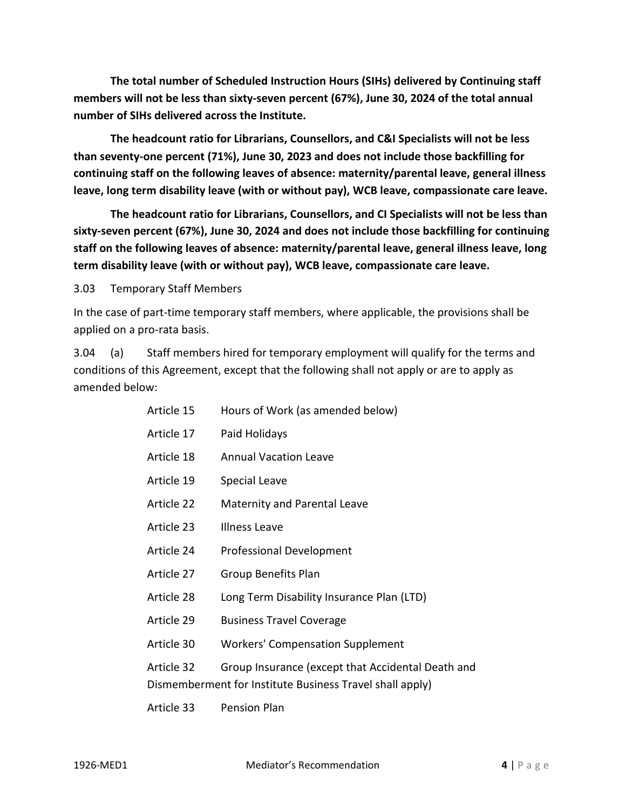**The total number of Scheduled Instruction Hours (SIHs) delivered by Continuing staff members will not be less than sixty-seven percent (67%), June 30, 2024 of the total annual number of SIHs delivered across the Institute.**

**The headcount ratio for Librarians, Counsellors, and C&I Specialists will not be less than seventy-one percent (71%), June 30, 2023 and does not include those backfilling for continuing staff on the following leaves of absence: maternity/parental leave, general illness leave, long term disability leave (with or without pay), WCB leave, compassionate care leave.** 

**The headcount ratio for Librarians, Counsellors, and CI Specialists will not be less than sixty-seven percent (67%), June 30, 2024 and does not include those backfilling for continuing staff on the following leaves of absence: maternity/parental leave, general illness leave, long term disability leave (with or without pay), WCB leave, compassionate care leave.**

3.03 Temporary Staff Members

In the case of part-time temporary staff members, where applicable, the provisions shall be applied on a pro-rata basis.

3.04 (a) Staff members hired for temporary employment will qualify for the terms and conditions of this Agreement, except that the following shall not apply or are to apply as amended below:

| Article 15 | Hours of Work (as amended below)                                                                              |
|------------|---------------------------------------------------------------------------------------------------------------|
| Article 17 | Paid Holidays                                                                                                 |
| Article 18 | <b>Annual Vacation Leave</b>                                                                                  |
| Article 19 | Special Leave                                                                                                 |
| Article 22 | <b>Maternity and Parental Leave</b>                                                                           |
| Article 23 | <b>Illness Leave</b>                                                                                          |
| Article 24 | <b>Professional Development</b>                                                                               |
| Article 27 | <b>Group Benefits Plan</b>                                                                                    |
| Article 28 | Long Term Disability Insurance Plan (LTD)                                                                     |
| Article 29 | <b>Business Travel Coverage</b>                                                                               |
| Article 30 | <b>Workers' Compensation Supplement</b>                                                                       |
| Article 32 | Group Insurance (except that Accidental Death and<br>Dismemberment for Institute Business Travel shall apply) |
| Article 33 | Pension Plan                                                                                                  |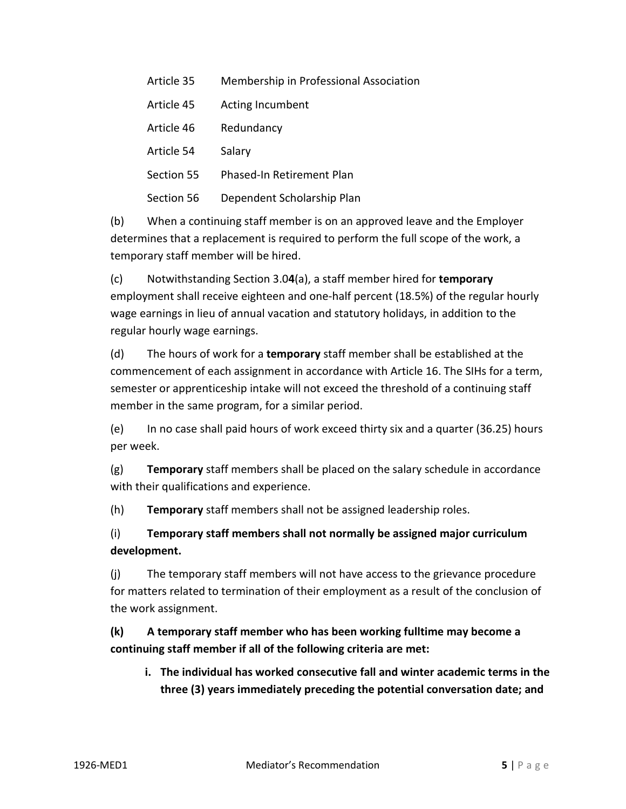| Article 35 | Membership in Professional Association |
|------------|----------------------------------------|
| Article 45 | <b>Acting Incumbent</b>                |
| Article 46 | Redundancy                             |
| Article 54 | Salary                                 |
| Section 55 | Phased-In Retirement Plan              |
| Section 56 | Dependent Scholarship Plan             |

(b) When a continuing staff member is on an approved leave and the Employer determines that a replacement is required to perform the full scope of the work, a temporary staff member will be hired.

(c) Notwithstanding Section 3.0**4**(a), a staff member hired for **temporary** employment shall receive eighteen and one-half percent (18.5%) of the regular hourly wage earnings in lieu of annual vacation and statutory holidays, in addition to the regular hourly wage earnings.

(d) The hours of work for a **temporary** staff member shall be established at the commencement of each assignment in accordance with Article 16. The SIHs for a term, semester or apprenticeship intake will not exceed the threshold of a continuing staff member in the same program, for a similar period.

(e) In no case shall paid hours of work exceed thirty six and a quarter (36.25) hours per week.

(g) **Temporary** staff members shall be placed on the salary schedule in accordance with their qualifications and experience.

(h) **Temporary** staff members shall not be assigned leadership roles.

(i) **Temporary staff members shall not normally be assigned major curriculum development.**

(j) The temporary staff members will not have access to the grievance procedure for matters related to termination of their employment as a result of the conclusion of the work assignment.

# **(k) A temporary staff member who has been working fulltime may become a continuing staff member if all of the following criteria are met:**

**i. The individual has worked consecutive fall and winter academic terms in the three (3) years immediately preceding the potential conversation date; and**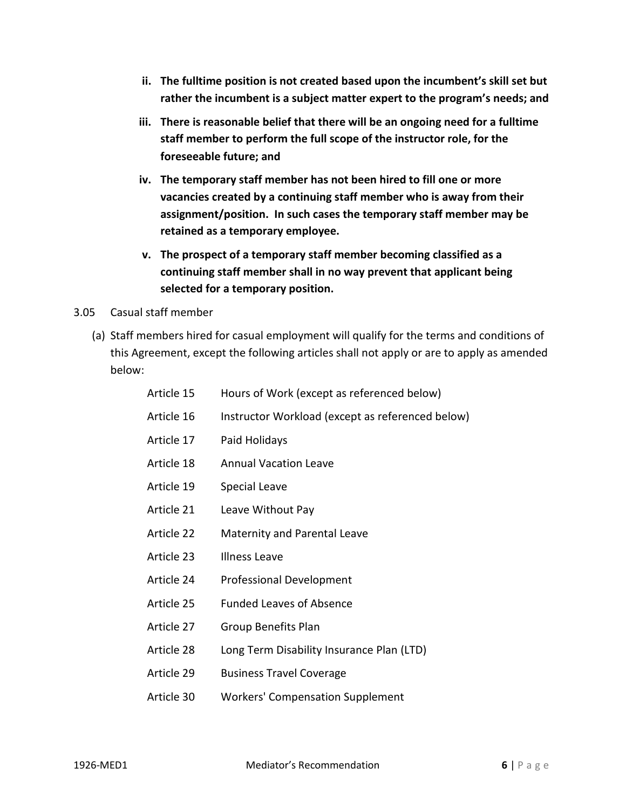- **ii. The fulltime position is not created based upon the incumbent's skill set but rather the incumbent is a subject matter expert to the program's needs; and**
- **iii. There is reasonable belief that there will be an ongoing need for a fulltime staff member to perform the full scope of the instructor role, for the foreseeable future; and**
- **iv. The temporary staff member has not been hired to fill one or more vacancies created by a continuing staff member who is away from their assignment/position. In such cases the temporary staff member may be retained as a temporary employee.**
- **v. The prospect of a temporary staff member becoming classified as a continuing staff member shall in no way prevent that applicant being selected for a temporary position.**
- 3.05 Casual staff member
	- (a) Staff members hired for casual employment will qualify for the terms and conditions of this Agreement, except the following articles shall not apply or are to apply as amended below:

| Article 15 | Hours of Work (except as referenced below)       |
|------------|--------------------------------------------------|
| Article 16 | Instructor Workload (except as referenced below) |
| Article 17 | Paid Holidays                                    |
| Article 18 | <b>Annual Vacation Leave</b>                     |
| Article 19 | <b>Special Leave</b>                             |
| Article 21 | Leave Without Pay                                |
| Article 22 | Maternity and Parental Leave                     |
| Article 23 | <b>Illness Leave</b>                             |
| Article 24 | <b>Professional Development</b>                  |
| Article 25 | <b>Funded Leaves of Absence</b>                  |
| Article 27 | <b>Group Benefits Plan</b>                       |
| Article 28 | Long Term Disability Insurance Plan (LTD)        |
| Article 29 | <b>Business Travel Coverage</b>                  |
| Article 30 | <b>Workers' Compensation Supplement</b>          |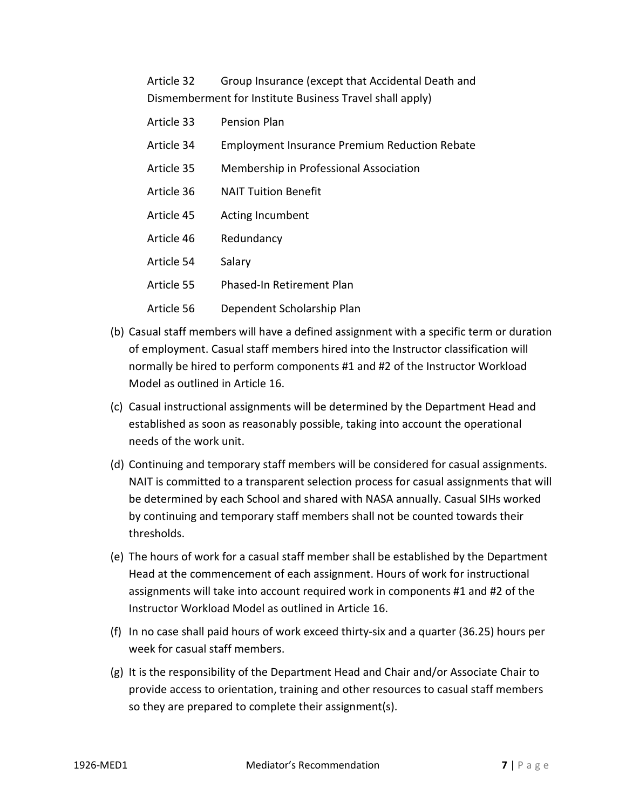Article 32 Group Insurance (except that Accidental Death and Dismemberment for Institute Business Travel shall apply)

| Article 33 | Pension Plan                                         |
|------------|------------------------------------------------------|
| Article 34 | <b>Employment Insurance Premium Reduction Rebate</b> |
| Article 35 | Membership in Professional Association               |
| Article 36 | <b>NAIT Tuition Benefit</b>                          |
| Article 45 | Acting Incumbent                                     |
| Article 46 | Redundancy                                           |
| Article 54 | Salary                                               |
| Article 55 | Phased-In Retirement Plan                            |
| Article 56 | Dependent Scholarship Plan                           |

- (b) Casual staff members will have a defined assignment with a specific term or duration of employment. Casual staff members hired into the Instructor classification will normally be hired to perform components #1 and #2 of the Instructor Workload Model as outlined in Article 16.
- (c) Casual instructional assignments will be determined by the Department Head and established as soon as reasonably possible, taking into account the operational needs of the work unit.
- (d) Continuing and temporary staff members will be considered for casual assignments. NAIT is committed to a transparent selection process for casual assignments that will be determined by each School and shared with NASA annually. Casual SIHs worked by continuing and temporary staff members shall not be counted towards their thresholds.
- (e) The hours of work for a casual staff member shall be established by the Department Head at the commencement of each assignment. Hours of work for instructional assignments will take into account required work in components #1 and #2 of the Instructor Workload Model as outlined in Article 16.
- (f) In no case shall paid hours of work exceed thirty-six and a quarter (36.25) hours per week for casual staff members.
- (g) It is the responsibility of the Department Head and Chair and/or Associate Chair to provide access to orientation, training and other resources to casual staff members so they are prepared to complete their assignment(s).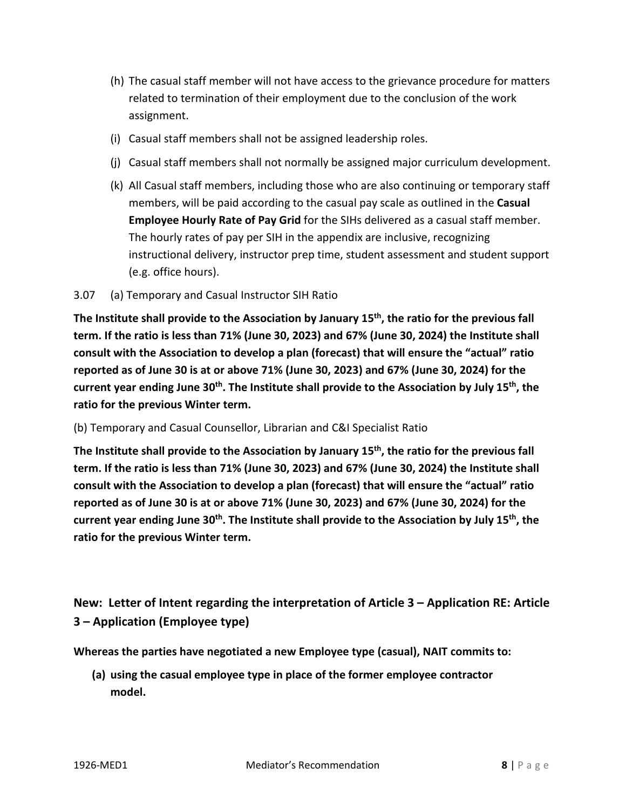- (h) The casual staff member will not have access to the grievance procedure for matters related to termination of their employment due to the conclusion of the work assignment.
- (i) Casual staff members shall not be assigned leadership roles.
- (j) Casual staff members shall not normally be assigned major curriculum development.
- (k) All Casual staff members, including those who are also continuing or temporary staff members, will be paid according to the casual pay scale as outlined in the **Casual Employee Hourly Rate of Pay Grid** for the SIHs delivered as a casual staff member. The hourly rates of pay per SIH in the appendix are inclusive, recognizing instructional delivery, instructor prep time, student assessment and student support (e.g. office hours).

### 3.07 (a) Temporary and Casual Instructor SIH Ratio

**The Institute shall provide to the Association by January 15th, the ratio for the previous fall term. If the ratio is less than 71% (June 30, 2023) and 67% (June 30, 2024) the Institute shall consult with the Association to develop a plan (forecast) that will ensure the "actual" ratio reported as of June 30 is at or above 71% (June 30, 2023) and 67% (June 30, 2024) for the**  current year ending June 30<sup>th</sup>. The Institute shall provide to the Association by July 15<sup>th</sup>, the **ratio for the previous Winter term.**

### (b) Temporary and Casual Counsellor, Librarian and C&I Specialist Ratio

**The Institute shall provide to the Association by January 15th, the ratio for the previous fall term. If the ratio is less than 71% (June 30, 2023) and 67% (June 30, 2024) the Institute shall consult with the Association to develop a plan (forecast) that will ensure the "actual" ratio reported as of June 30 is at or above 71% (June 30, 2023) and 67% (June 30, 2024) for the current year ending June 30th. The Institute shall provide to the Association by July 15th, the ratio for the previous Winter term.**

# **New: Letter of Intent regarding the interpretation of Article 3 – Application RE: Article 3 – Application (Employee type)**

**Whereas the parties have negotiated a new Employee type (casual), NAIT commits to:**

**(a) using the casual employee type in place of the former employee contractor model.**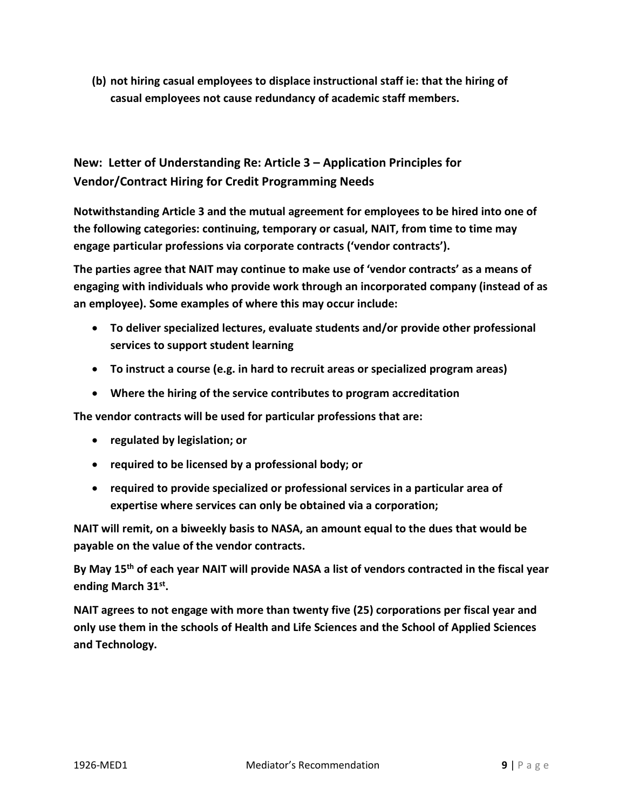**(b) not hiring casual employees to displace instructional staff ie: that the hiring of casual employees not cause redundancy of academic staff members.**

# **New: Letter of Understanding Re: Article 3 – Application Principles for Vendor/Contract Hiring for Credit Programming Needs**

**Notwithstanding Article 3 and the mutual agreement for employees to be hired into one of the following categories: continuing, temporary or casual, NAIT, from time to time may engage particular professions via corporate contracts ('vendor contracts').** 

**The parties agree that NAIT may continue to make use of 'vendor contracts' as a means of engaging with individuals who provide work through an incorporated company (instead of as an employee). Some examples of where this may occur include:**

- **To deliver specialized lectures, evaluate students and/or provide other professional services to support student learning**
- **To instruct a course (e.g. in hard to recruit areas or specialized program areas)**
- **Where the hiring of the service contributes to program accreditation**

**The vendor contracts will be used for particular professions that are:**

- **regulated by legislation; or**
- **required to be licensed by a professional body; or**
- **required to provide specialized or professional services in a particular area of expertise where services can only be obtained via a corporation;**

**NAIT will remit, on a biweekly basis to NASA, an amount equal to the dues that would be payable on the value of the vendor contracts.** 

**By May 15th of each year NAIT will provide NASA a list of vendors contracted in the fiscal year ending March 31st.** 

**NAIT agrees to not engage with more than twenty five (25) corporations per fiscal year and only use them in the schools of Health and Life Sciences and the School of Applied Sciences and Technology.**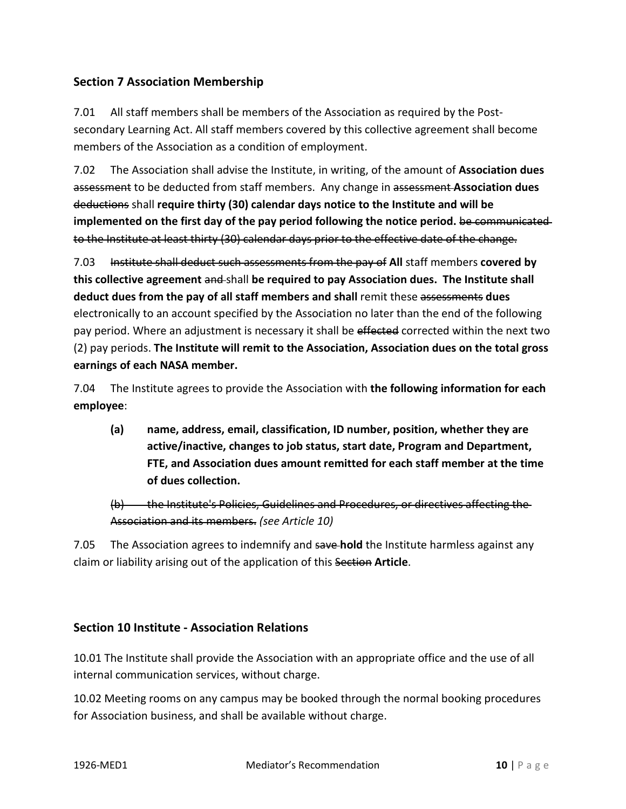# **Section 7 Association Membership**

7.01 All staff members shall be members of the Association as required by the Postsecondary Learning Act. All staff members covered by this collective agreement shall become members of the Association as a condition of employment.

7.02 The Association shall advise the Institute, in writing, of the amount of **Association dues** assessment to be deducted from staff members. Any change in assessment **Association dues** deductions shall **require thirty (30) calendar days notice to the Institute and will be implemented on the first day of the pay period following the notice period.** be communicated to the Institute at least thirty (30) calendar days prior to the effective date of the change.

7.03 Institute shall deduct such assessments from the pay of **All** staff members **covered by this collective agreement** and shall **be required to pay Association dues. The Institute shall deduct dues from the pay of all staff members and shall** remit these assessments **dues**  electronically to an account specified by the Association no later than the end of the following pay period. Where an adjustment is necessary it shall be effected corrected within the next two (2) pay periods. **The Institute will remit to the Association, Association dues on the total gross earnings of each NASA member.** 

7.04 The Institute agrees to provide the Association with **the following information for each employee**:

**(a) name, address, email, classification, ID number, position, whether they are active/inactive, changes to job status, start date, Program and Department, FTE, and Association dues amount remitted for each staff member at the time of dues collection.** 

# (b) the Institute's Policies, Guidelines and Procedures, or directives affecting the Association and its members. *(see Article 10)*

7.05 The Association agrees to indemnify and save **hold** the Institute harmless against any claim or liability arising out of the application of this Section **Article**.

# **Section 10 Institute - Association Relations**

10.01 The Institute shall provide the Association with an appropriate office and the use of all internal communication services, without charge.

10.02 Meeting rooms on any campus may be booked through the normal booking procedures for Association business, and shall be available without charge.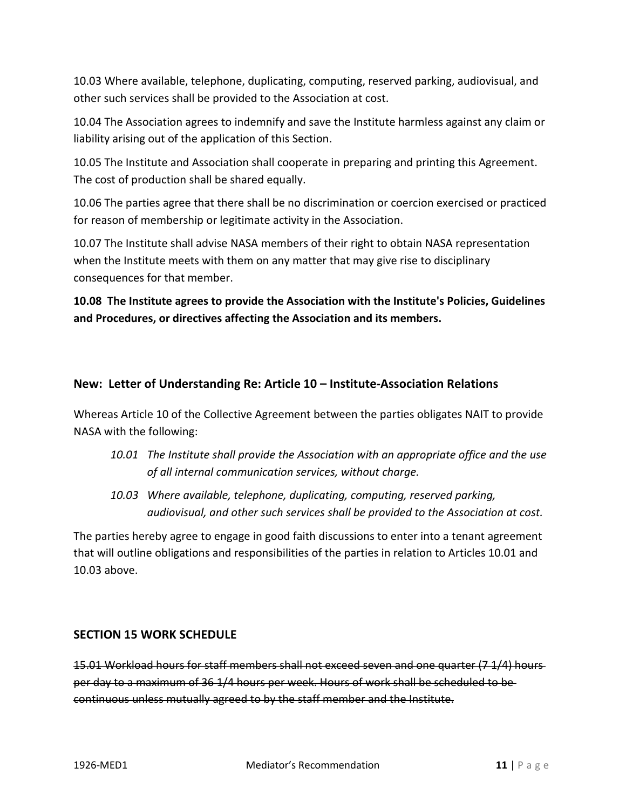10.03 Where available, telephone, duplicating, computing, reserved parking, audiovisual, and other such services shall be provided to the Association at cost.

10.04 The Association agrees to indemnify and save the Institute harmless against any claim or liability arising out of the application of this Section.

10.05 The Institute and Association shall cooperate in preparing and printing this Agreement. The cost of production shall be shared equally.

10.06 The parties agree that there shall be no discrimination or coercion exercised or practiced for reason of membership or legitimate activity in the Association.

10.07 The Institute shall advise NASA members of their right to obtain NASA representation when the Institute meets with them on any matter that may give rise to disciplinary consequences for that member.

**10.08 The Institute agrees to provide the Association with the Institute's Policies, Guidelines and Procedures, or directives affecting the Association and its members.**

# **New: Letter of Understanding Re: Article 10 – Institute-Association Relations**

Whereas Article 10 of the Collective Agreement between the parties obligates NAIT to provide NASA with the following:

- *10.01 The Institute shall provide the Association with an appropriate office and the use of all internal communication services, without charge.*
- *10.03 Where available, telephone, duplicating, computing, reserved parking, audiovisual, and other such services shall be provided to the Association at cost.*

The parties hereby agree to engage in good faith discussions to enter into a tenant agreement that will outline obligations and responsibilities of the parties in relation to Articles 10.01 and 10.03 above.

# **SECTION 15 WORK SCHEDULE**

15.01 Workload hours for staff members shall not exceed seven and one quarter (7 1/4) hours per day to a maximum of 36 1/4 hours per week. Hours of work shall be scheduled to be continuous unless mutually agreed to by the staff member and the Institute.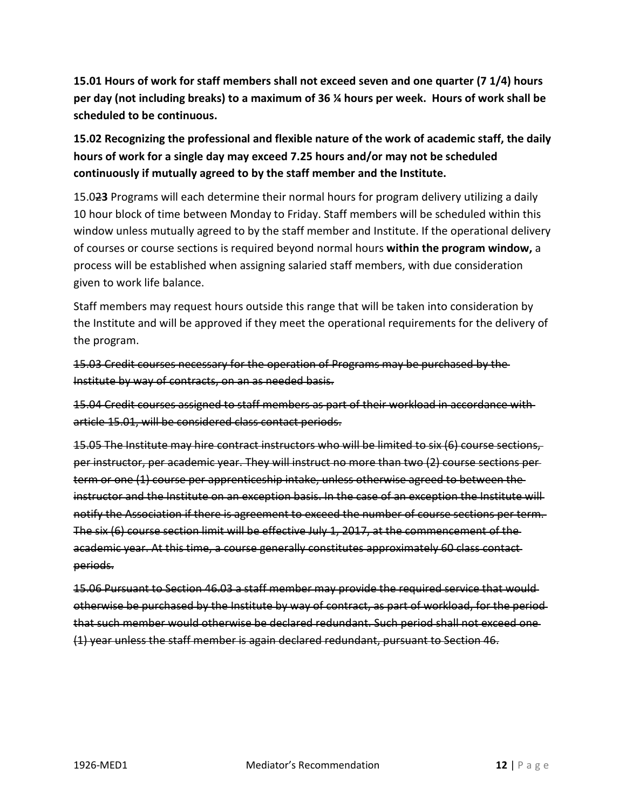**15.01 Hours of work for staff members shall not exceed seven and one quarter (7 1/4) hours per day (not including breaks) to a maximum of 36 ¼ hours per week. Hours of work shall be scheduled to be continuous.**

**15.02 Recognizing the professional and flexible nature of the work of academic staff, the daily hours of work for a single day may exceed 7.25 hours and/or may not be scheduled continuously if mutually agreed to by the staff member and the Institute.**

15.02**3** Programs will each determine their normal hours for program delivery utilizing a daily 10 hour block of time between Monday to Friday. Staff members will be scheduled within this window unless mutually agreed to by the staff member and Institute. If the operational delivery of courses or course sections is required beyond normal hours **within the program window,** a process will be established when assigning salaried staff members, with due consideration given to work life balance.

Staff members may request hours outside this range that will be taken into consideration by the Institute and will be approved if they meet the operational requirements for the delivery of the program.

15.03 Credit courses necessary for the operation of Programs may be purchased by the Institute by way of contracts, on an as needed basis.

15.04 Credit courses assigned to staff members as part of their workload in accordance with article 15.01, will be considered class contact periods.

15.05 The Institute may hire contract instructors who will be limited to six (6) course sections, per instructor, per academic year. They will instruct no more than two (2) course sections per term or one (1) course per apprenticeship intake, unless otherwise agreed to between the instructor and the Institute on an exception basis. In the case of an exception the Institute will notify the Association if there is agreement to exceed the number of course sections per term. The six (6) course section limit will be effective July 1, 2017, at the commencement of the academic year. At this time, a course generally constitutes approximately 60 class contact periods.

15.06 Pursuant to Section 46.03 a staff member may provide the required service that would otherwise be purchased by the Institute by way of contract, as part of workload, for the period that such member would otherwise be declared redundant. Such period shall not exceed one (1) year unless the staff member is again declared redundant, pursuant to Section 46.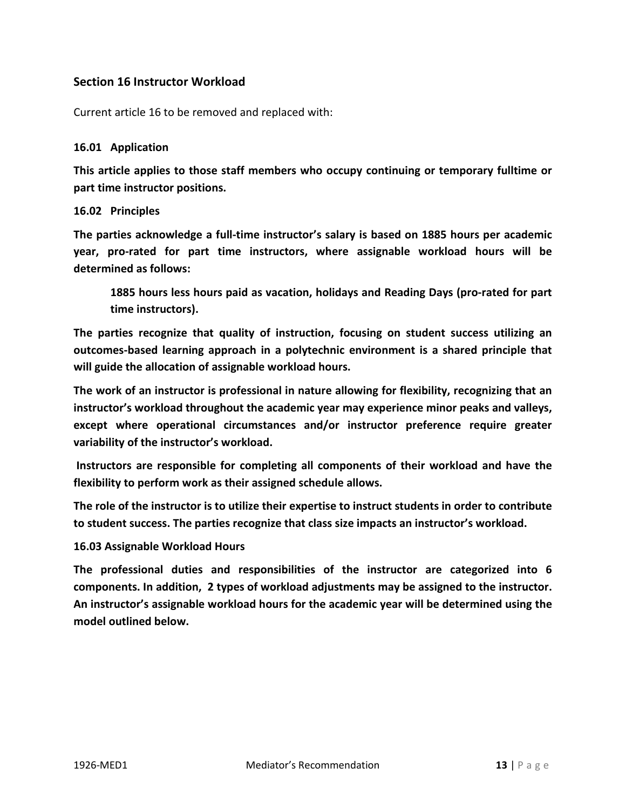# **Section 16 Instructor Workload**

Current article 16 to be removed and replaced with:

### **16.01 Application**

**This article applies to those staff members who occupy continuing or temporary fulltime or part time instructor positions.** 

### **16.02 Principles**

**The parties acknowledge a full-time instructor's salary is based on 1885 hours per academic year, pro-rated for part time instructors, where assignable workload hours will be determined as follows:**

**1885 hours less hours paid as vacation, holidays and Reading Days (pro-rated for part time instructors).** 

**The parties recognize that quality of instruction, focusing on student success utilizing an outcomes-based learning approach in a polytechnic environment is a shared principle that will guide the allocation of assignable workload hours.** 

**The work of an instructor is professional in nature allowing for flexibility, recognizing that an instructor's workload throughout the academic year may experience minor peaks and valleys, except where operational circumstances and/or instructor preference require greater variability of the instructor's workload.**

**Instructors are responsible for completing all components of their workload and have the flexibility to perform work as their assigned schedule allows.** 

**The role of the instructor is to utilize their expertise to instruct students in order to contribute to student success. The parties recognize that class size impacts an instructor's workload.**

## **16.03 Assignable Workload Hours**

**The professional duties and responsibilities of the instructor are categorized into 6 components. In addition, 2 types of workload adjustments may be assigned to the instructor. An instructor's assignable workload hours for the academic year will be determined using the model outlined below.**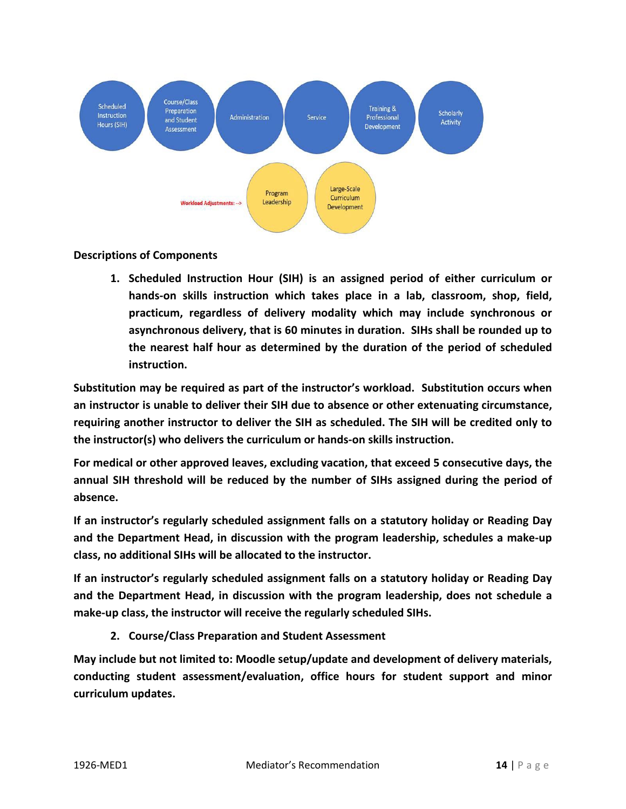

## **Descriptions of Components**

**1. Scheduled Instruction Hour (SIH) is an assigned period of either curriculum or hands-on skills instruction which takes place in a lab, classroom, shop, field, practicum, regardless of delivery modality which may include synchronous or asynchronous delivery, that is 60 minutes in duration. SIHs shall be rounded up to the nearest half hour as determined by the duration of the period of scheduled instruction.** 

**Substitution may be required as part of the instructor's workload. Substitution occurs when an instructor is unable to deliver their SIH due to absence or other extenuating circumstance, requiring another instructor to deliver the SIH as scheduled. The SIH will be credited only to the instructor(s) who delivers the curriculum or hands-on skills instruction.**

**For medical or other approved leaves, excluding vacation, that exceed 5 consecutive days, the annual SIH threshold will be reduced by the number of SIHs assigned during the period of absence.**

**If an instructor's regularly scheduled assignment falls on a statutory holiday or Reading Day and the Department Head, in discussion with the program leadership, schedules a make-up class, no additional SIHs will be allocated to the instructor.**

**If an instructor's regularly scheduled assignment falls on a statutory holiday or Reading Day and the Department Head, in discussion with the program leadership, does not schedule a make-up class, the instructor will receive the regularly scheduled SIHs.**

**2. Course/Class Preparation and Student Assessment**

**May include but not limited to: Moodle setup/update and development of delivery materials, conducting student assessment/evaluation, office hours for student support and minor curriculum updates.**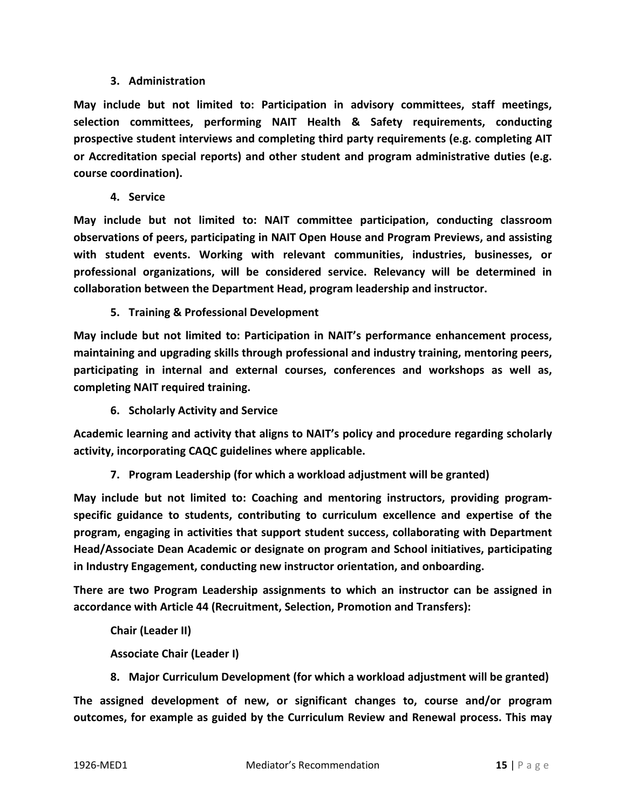## **3. Administration**

**May include but not limited to: Participation in advisory committees, staff meetings, selection committees, performing NAIT Health & Safety requirements, conducting prospective student interviews and completing third party requirements (e.g. completing AIT or Accreditation special reports) and other student and program administrative duties (e.g. course coordination).**

**4. Service**

**May include but not limited to: NAIT committee participation, conducting classroom observations of peers, participating in NAIT Open House and Program Previews, and assisting with student events. Working with relevant communities, industries, businesses, or professional organizations, will be considered service. Relevancy will be determined in collaboration between the Department Head, program leadership and instructor.**

**5. Training & Professional Development**

**May include but not limited to: Participation in NAIT's performance enhancement process, maintaining and upgrading skills through professional and industry training, mentoring peers, participating in internal and external courses, conferences and workshops as well as, completing NAIT required training.**

**6. Scholarly Activity and Service**

**Academic learning and activity that aligns to NAIT's policy and procedure regarding scholarly activity, incorporating CAQC guidelines where applicable.**

**7. Program Leadership (for which a workload adjustment will be granted)**

**May include but not limited to: Coaching and mentoring instructors, providing programspecific guidance to students, contributing to curriculum excellence and expertise of the program, engaging in activities that support student success, collaborating with Department Head/Associate Dean Academic or designate on program and School initiatives, participating in Industry Engagement, conducting new instructor orientation, and onboarding.** 

**There are two Program Leadership assignments to which an instructor can be assigned in accordance with Article 44 (Recruitment, Selection, Promotion and Transfers):**

**Chair (Leader II)**

**Associate Chair (Leader I)**

**8. Major Curriculum Development (for which a workload adjustment will be granted)**

**The assigned development of new, or significant changes to, course and/or program outcomes, for example as guided by the Curriculum Review and Renewal process. This may**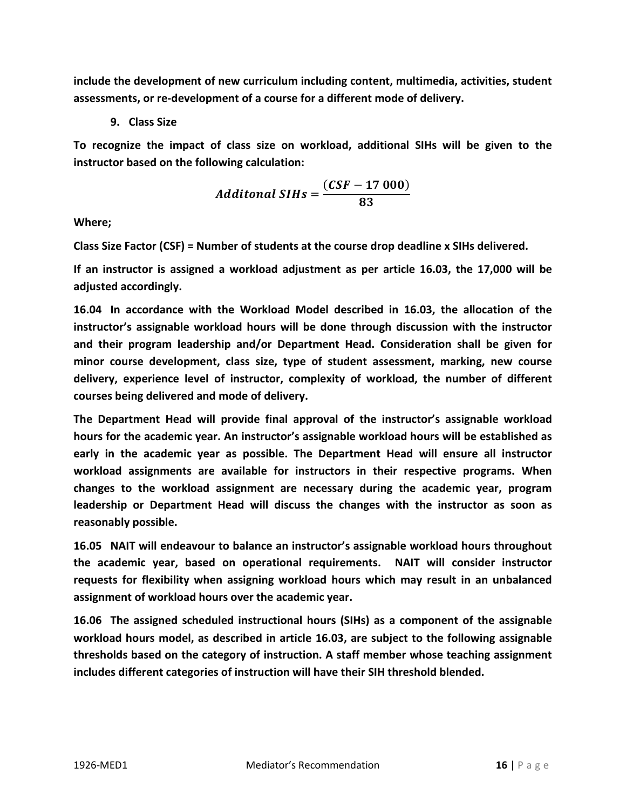**include the development of new curriculum including content, multimedia, activities, student assessments, or re-development of a course for a different mode of delivery.**

**9. Class Size**

**To recognize the impact of class size on workload, additional SIHs will be given to the instructor based on the following calculation:** 

$$
Additional SIHs = \frac{(CSF - 17000)}{83}
$$

**Where;**

**Class Size Factor (CSF) = Number of students at the course drop deadline x SIHs delivered.**

**If an instructor is assigned a workload adjustment as per article 16.03, the 17,000 will be adjusted accordingly.**

**16.04 In accordance with the Workload Model described in 16.03, the allocation of the instructor's assignable workload hours will be done through discussion with the instructor and their program leadership and/or Department Head. Consideration shall be given for minor course development, class size, type of student assessment, marking, new course delivery, experience level of instructor, complexity of workload, the number of different courses being delivered and mode of delivery.** 

**The Department Head will provide final approval of the instructor's assignable workload hours for the academic year. An instructor's assignable workload hours will be established as early in the academic year as possible. The Department Head will ensure all instructor workload assignments are available for instructors in their respective programs. When changes to the workload assignment are necessary during the academic year, program leadership or Department Head will discuss the changes with the instructor as soon as reasonably possible.**

**16.05 NAIT will endeavour to balance an instructor's assignable workload hours throughout the academic year, based on operational requirements. NAIT will consider instructor requests for flexibility when assigning workload hours which may result in an unbalanced assignment of workload hours over the academic year.**

**16.06 The assigned scheduled instructional hours (SIHs) as a component of the assignable workload hours model, as described in article 16.03, are subject to the following assignable thresholds based on the category of instruction. A staff member whose teaching assignment includes different categories of instruction will have their SIH threshold blended.**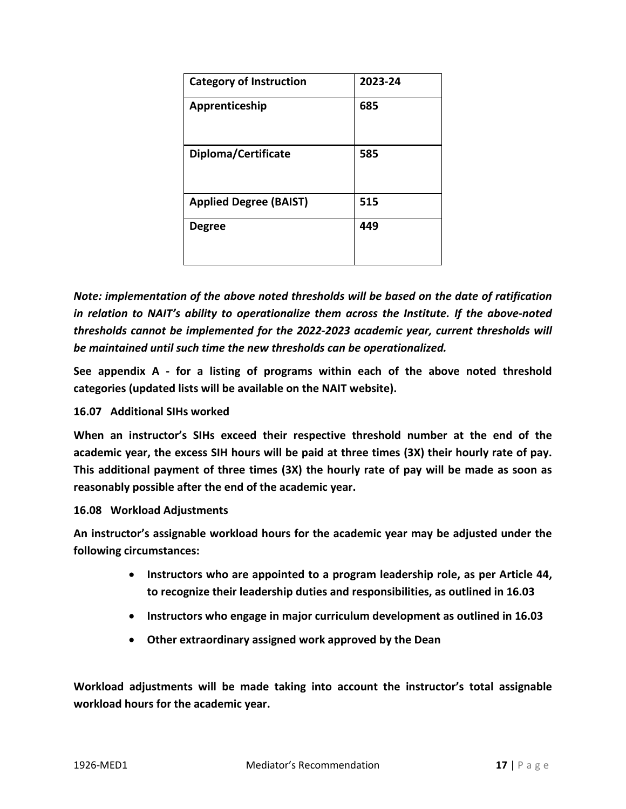| <b>Category of Instruction</b> | 2023-24 |
|--------------------------------|---------|
| Apprenticeship                 | 685     |
| Diploma/Certificate            | 585     |
| <b>Applied Degree (BAIST)</b>  | 515     |
| <b>Degree</b>                  | 449     |

*Note: implementation of the above noted thresholds will be based on the date of ratification in relation to NAIT's ability to operationalize them across the Institute. If the above-noted thresholds cannot be implemented for the 2022-2023 academic year, current thresholds will be maintained until such time the new thresholds can be operationalized.*

**See appendix A - for a listing of programs within each of the above noted threshold categories (updated lists will be available on the NAIT website).**

## **16.07 Additional SIHs worked**

**When an instructor's SIHs exceed their respective threshold number at the end of the academic year, the excess SIH hours will be paid at three times (3X) their hourly rate of pay. This additional payment of three times (3X) the hourly rate of pay will be made as soon as reasonably possible after the end of the academic year.** 

### **16.08 Workload Adjustments**

**An instructor's assignable workload hours for the academic year may be adjusted under the following circumstances:**

- **Instructors who are appointed to a program leadership role, as per Article 44, to recognize their leadership duties and responsibilities, as outlined in 16.03**
- **Instructors who engage in major curriculum development as outlined in 16.03**
- **Other extraordinary assigned work approved by the Dean**

**Workload adjustments will be made taking into account the instructor's total assignable workload hours for the academic year.**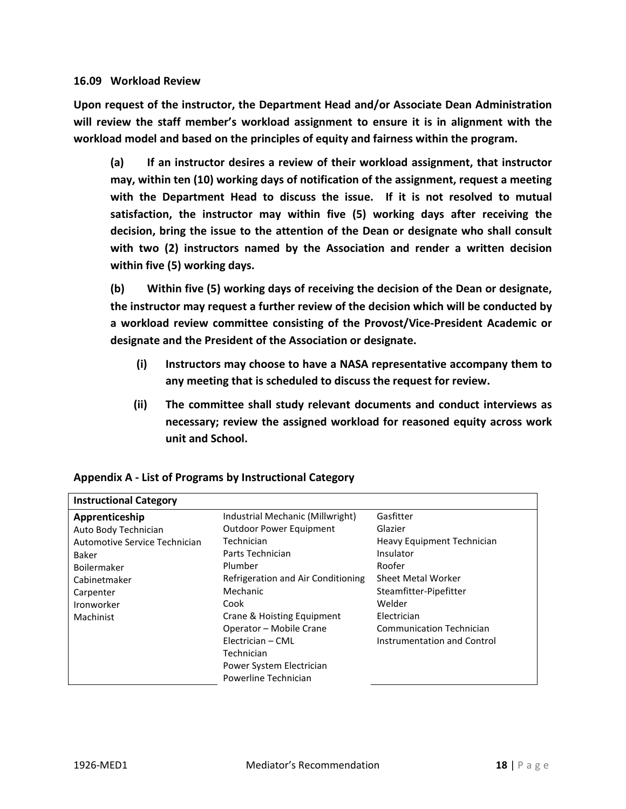### **16.09 Workload Review**

**Upon request of the instructor, the Department Head and/or Associate Dean Administration will review the staff member's workload assignment to ensure it is in alignment with the workload model and based on the principles of equity and fairness within the program.** 

**(a) If an instructor desires a review of their workload assignment, that instructor may, within ten (10) working days of notification of the assignment, request a meeting with the Department Head to discuss the issue. If it is not resolved to mutual satisfaction, the instructor may within five (5) working days after receiving the decision, bring the issue to the attention of the Dean or designate who shall consult with two (2) instructors named by the Association and render a written decision within five (5) working days.**

**(b) Within five (5) working days of receiving the decision of the Dean or designate, the instructor may request a further review of the decision which will be conducted by a workload review committee consisting of the Provost/Vice-President Academic or designate and the President of the Association or designate.** 

- **(i) Instructors may choose to have a NASA representative accompany them to any meeting that is scheduled to discuss the request for review.**
- **(ii) The committee shall study relevant documents and conduct interviews as necessary; review the assigned workload for reasoned equity across work unit and School.**

| <b>Instructional Category</b> |                                    |                                 |
|-------------------------------|------------------------------------|---------------------------------|
| Apprenticeship                | Industrial Mechanic (Millwright)   | Gasfitter                       |
| Auto Body Technician          | <b>Outdoor Power Equipment</b>     | Glazier                         |
| Automotive Service Technician | Technician                         | Heavy Equipment Technician      |
| Baker                         | Parts Technician                   | Insulator                       |
| Boilermaker                   | Plumber                            | Roofer                          |
| Cabinetmaker                  | Refrigeration and Air Conditioning | <b>Sheet Metal Worker</b>       |
| Carpenter                     | Mechanic                           | Steamfitter-Pipefitter          |
| Ironworker                    | Cook                               | Welder                          |
| Machinist                     | Crane & Hoisting Equipment         | Electrician                     |
|                               | Operator - Mobile Crane            | <b>Communication Technician</b> |
|                               | Electrician - CML                  | Instrumentation and Control     |
|                               | Technician                         |                                 |
|                               | Power System Electrician           |                                 |
|                               | Powerline Technician               |                                 |

## **Appendix A - List of Programs by Instructional Category**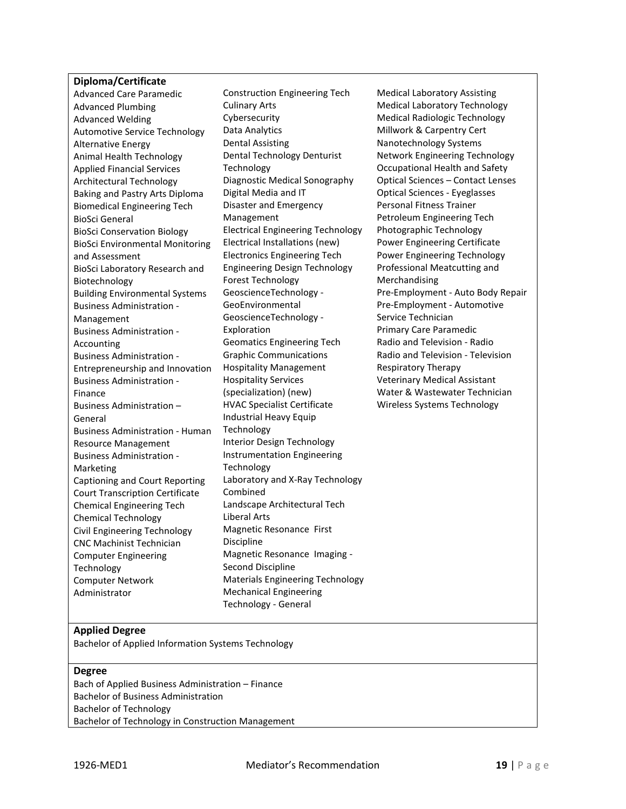#### **Diploma/Certificate**

Advanced Care Paramedic Advanced Plumbing Advanced Welding Automotive Service Technology Alternative Energy Animal Health Technology Applied Financial Services Architectural Technology Baking and Pastry Arts Diploma Biomedical Engineering Tech BioSci General BioSci Conservation Biology BioSci Environmental Monitoring and Assessment BioSci Laboratory Research and Biotechnology Building Environmental Systems Business Administration - Management Business Administration - Accounting Business Administration - Entrepreneurship and Innovation Business Administration - Finance Business Administration – General Business Administration - Human Resource Management Business Administration - Marketing Captioning and Court Reporting Court Transcription Certificate Chemical Engineering Tech Chemical Technology Civil Engineering Technology CNC Machinist Technician Computer Engineering Technology Computer Network Administrator Technology - General

Construction Engineering Tech Culinary Arts Cybersecurity Data Analytics Dental Assisting Dental Technology Denturist Technology Diagnostic Medical Sonography Digital Media and IT Disaster and Emergency Management Electrical Engineering Technology Electrical Installations (new) Electronics Engineering Tech Engineering Design Technology Forest Technology GeoscienceTechnology - GeoEnvironmental GeoscienceTechnology - Exploration Geomatics Engineering Tech Graphic Communications Hospitality Management Hospitality Services (specialization) (new) HVAC Specialist Certificate Industrial Heavy Equip Technology Interior Design Technology Instrumentation Engineering Technology Laboratory and X-Ray Technology Combined Landscape Architectural Tech Liberal Arts Magnetic Resonance First Discipline Magnetic Resonance Imaging - Second Discipline Materials Engineering Technology Mechanical Engineering

Medical Laboratory Assisting Medical Laboratory Technology Medical Radiologic Technology Millwork & Carpentry Cert Nanotechnology Systems Network Engineering Technology Occupational Health and Safety Optical Sciences – Contact Lenses Optical Sciences - Eyeglasses Personal Fitness Trainer Petroleum Engineering Tech Photographic Technology Power Engineering Certificate Power Engineering Technology Professional Meatcutting and Merchandising Pre-Employment - Auto Body Repair Pre-Employment - Automotive Service Technician Primary Care Paramedic Radio and Television - Radio Radio and Television - Television Respiratory Therapy Veterinary Medical Assistant Water & Wastewater Technician Wireless Systems Technology

#### **Applied Degree**

Bachelor of Applied Information Systems Technology

#### **Degree**

Bach of Applied Business Administration – Finance Bachelor of Business Administration Bachelor of Technology Bachelor of Technology in Construction Management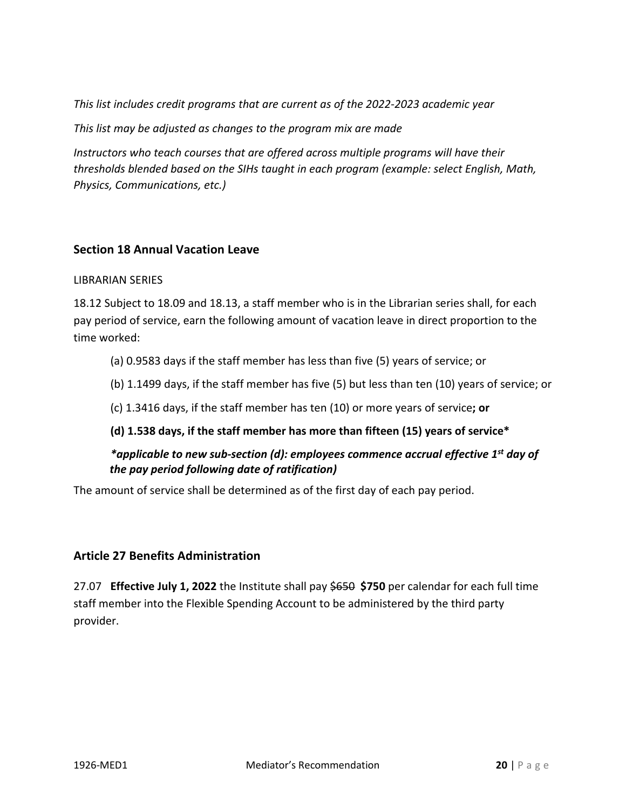*This list includes credit programs that are current as of the 2022-2023 academic year*

*This list may be adjusted as changes to the program mix are made*

*Instructors who teach courses that are offered across multiple programs will have their thresholds blended based on the SIHs taught in each program (example: select English, Math, Physics, Communications, etc.)*

# **Section 18 Annual Vacation Leave**

## LIBRARIAN SERIES

18.12 Subject to 18.09 and 18.13, a staff member who is in the Librarian series shall, for each pay period of service, earn the following amount of vacation leave in direct proportion to the time worked:

(a) 0.9583 days if the staff member has less than five (5) years of service; or

(b) 1.1499 days, if the staff member has five (5) but less than ten (10) years of service; or

(c) 1.3416 days, if the staff member has ten (10) or more years of service**; or**

**(d) 1.538 days, if the staff member has more than fifteen (15) years of service\*** 

*\*applicable to new sub-section (d): employees commence accrual effective 1st day of the pay period following date of ratification)*

The amount of service shall be determined as of the first day of each pay period.

# **Article 27 Benefits Administration**

27.07 **Effective July 1, 2022** the Institute shall pay \$650 **\$750** per calendar for each full time staff member into the Flexible Spending Account to be administered by the third party provider.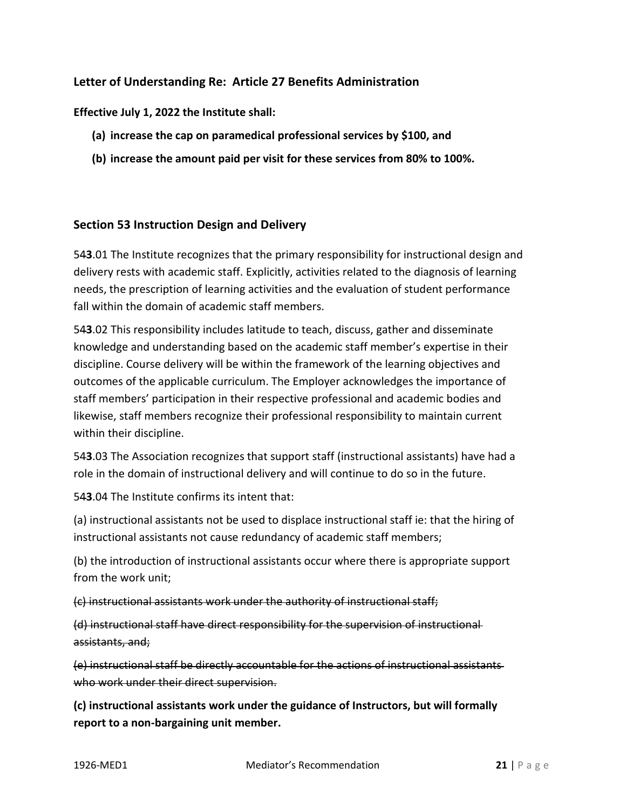# **Letter of Understanding Re: Article 27 Benefits Administration**

## **Effective July 1, 2022 the Institute shall:**

- **(a) increase the cap on paramedical professional services by \$100, and**
- **(b) increase the amount paid per visit for these services from 80% to 100%.**

## **Section 53 Instruction Design and Delivery**

54**3**.01 The Institute recognizes that the primary responsibility for instructional design and delivery rests with academic staff. Explicitly, activities related to the diagnosis of learning needs, the prescription of learning activities and the evaluation of student performance fall within the domain of academic staff members.

54**3**.02 This responsibility includes latitude to teach, discuss, gather and disseminate knowledge and understanding based on the academic staff member's expertise in their discipline. Course delivery will be within the framework of the learning objectives and outcomes of the applicable curriculum. The Employer acknowledges the importance of staff members' participation in their respective professional and academic bodies and likewise, staff members recognize their professional responsibility to maintain current within their discipline.

54**3**.03 The Association recognizes that support staff (instructional assistants) have had a role in the domain of instructional delivery and will continue to do so in the future.

54**3**.04 The Institute confirms its intent that:

(a) instructional assistants not be used to displace instructional staff ie: that the hiring of instructional assistants not cause redundancy of academic staff members;

(b) the introduction of instructional assistants occur where there is appropriate support from the work unit;

(c) instructional assistants work under the authority of instructional staff;

(d) instructional staff have direct responsibility for the supervision of instructional assistants, and;

(e) instructional staff be directly accountable for the actions of instructional assistants who work under their direct supervision.

**(c) instructional assistants work under the guidance of Instructors, but will formally report to a non-bargaining unit member.**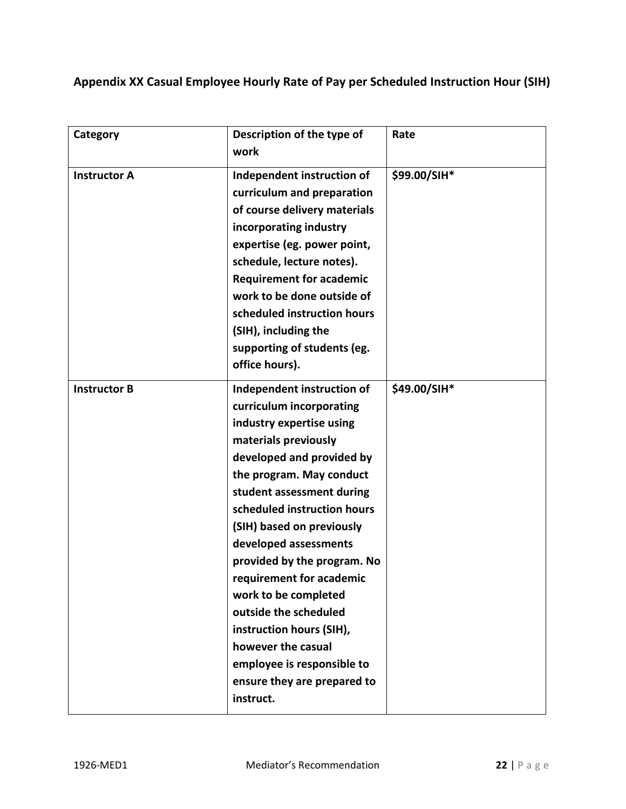**Appendix XX Casual Employee Hourly Rate of Pay per Scheduled Instruction Hour (SIH)**

| Category            | Description of the type of<br>work                                                                                                                                                                                                                                                                                                                                                                                                                                                                                            | Rate         |
|---------------------|-------------------------------------------------------------------------------------------------------------------------------------------------------------------------------------------------------------------------------------------------------------------------------------------------------------------------------------------------------------------------------------------------------------------------------------------------------------------------------------------------------------------------------|--------------|
| <b>Instructor A</b> | Independent instruction of<br>curriculum and preparation<br>of course delivery materials<br>incorporating industry<br>expertise (eg. power point,<br>schedule, lecture notes).<br><b>Requirement for academic</b><br>work to be done outside of<br>scheduled instruction hours<br>(SIH), including the<br>supporting of students (eg.<br>office hours).                                                                                                                                                                       | \$99.00/SIH* |
| <b>Instructor B</b> | Independent instruction of<br>curriculum incorporating<br>industry expertise using<br>materials previously<br>developed and provided by<br>the program. May conduct<br>student assessment during<br>scheduled instruction hours<br>(SIH) based on previously<br>developed assessments<br>provided by the program. No<br>requirement for academic<br>work to be completed<br>outside the scheduled<br>instruction hours (SIH),<br>however the casual<br>employee is responsible to<br>ensure they are prepared to<br>instruct. | \$49.00/SIH* |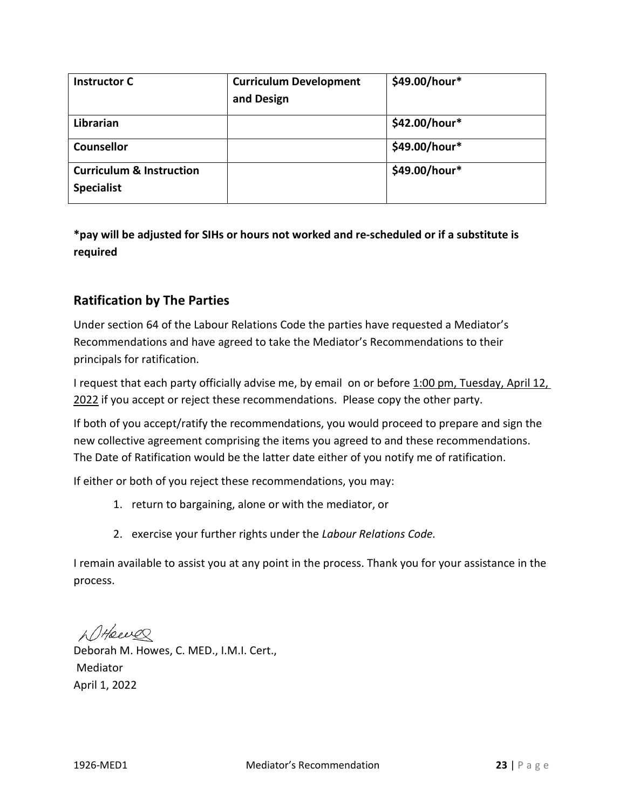| <b>Instructor C</b>                                      | <b>Curriculum Development</b> | \$49.00/hour* |
|----------------------------------------------------------|-------------------------------|---------------|
|                                                          | and Design                    |               |
| Librarian                                                |                               | \$42.00/hour* |
| <b>Counsellor</b>                                        |                               | \$49.00/hour* |
| <b>Curriculum &amp; Instruction</b><br><b>Specialist</b> |                               | \$49.00/hour* |

# **\*pay will be adjusted for SIHs or hours not worked and re-scheduled or if a substitute is required**

# **Ratification by The Parties**

Under section 64 of the Labour Relations Code the parties have requested a Mediator's Recommendations and have agreed to take the Mediator's Recommendations to their principals for ratification.

I request that each party officially advise me, by email on or before 1:00 pm, Tuesday, April 12, 2022 if you accept or reject these recommendations. Please copy the other party.

If both of you accept/ratify the recommendations, you would proceed to prepare and sign the new collective agreement comprising the items you agreed to and these recommendations. The Date of Ratification would be the latter date either of you notify me of ratification.

If either or both of you reject these recommendations, you may:

- 1. return to bargaining, alone or with the mediator, or
- 2. exercise your further rights under the *Labour Relations Code.*

I remain available to assist you at any point in the process. Thank you for your assistance in the process.

WHeever

Deborah M. Howes, C. MED., I.M.I. Cert., Mediator April 1, 2022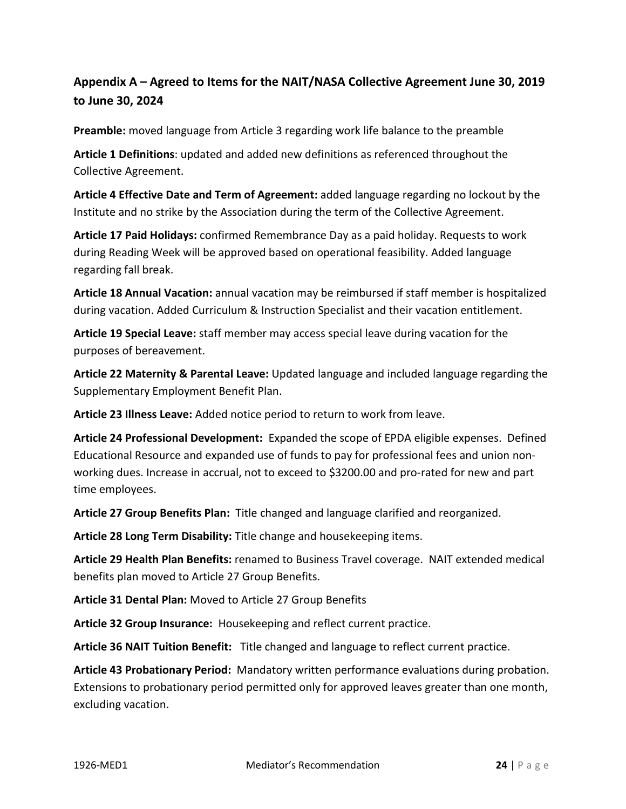# **Appendix A – Agreed to Items for the NAIT/NASA Collective Agreement June 30, 2019 to June 30, 2024**

**Preamble:** moved language from Article 3 regarding work life balance to the preamble

**Article 1 Definitions**: updated and added new definitions as referenced throughout the Collective Agreement.

**Article 4 Effective Date and Term of Agreement:** added language regarding no lockout by the Institute and no strike by the Association during the term of the Collective Agreement.

**Article 17 Paid Holidays:** confirmed Remembrance Day as a paid holiday. Requests to work during Reading Week will be approved based on operational feasibility. Added language regarding fall break.

**Article 18 Annual Vacation:** annual vacation may be reimbursed if staff member is hospitalized during vacation. Added Curriculum & Instruction Specialist and their vacation entitlement.

**Article 19 Special Leave:** staff member may access special leave during vacation for the purposes of bereavement.

**Article 22 Maternity & Parental Leave:** Updated language and included language regarding the Supplementary Employment Benefit Plan.

**Article 23 Illness Leave:** Added notice period to return to work from leave.

**Article 24 Professional Development:** Expanded the scope of EPDA eligible expenses. Defined Educational Resource and expanded use of funds to pay for professional fees and union nonworking dues. Increase in accrual, not to exceed to \$3200.00 and pro-rated for new and part time employees.

**Article 27 Group Benefits Plan:** Title changed and language clarified and reorganized.

**Article 28 Long Term Disability:** Title change and housekeeping items.

**Article 29 Health Plan Benefits:** renamed to Business Travel coverage. NAIT extended medical benefits plan moved to Article 27 Group Benefits.

**Article 31 Dental Plan:** Moved to Article 27 Group Benefits

**Article 32 Group Insurance:** Housekeeping and reflect current practice.

**Article 36 NAIT Tuition Benefit:** Title changed and language to reflect current practice.

**Article 43 Probationary Period:** Mandatory written performance evaluations during probation. Extensions to probationary period permitted only for approved leaves greater than one month, excluding vacation.